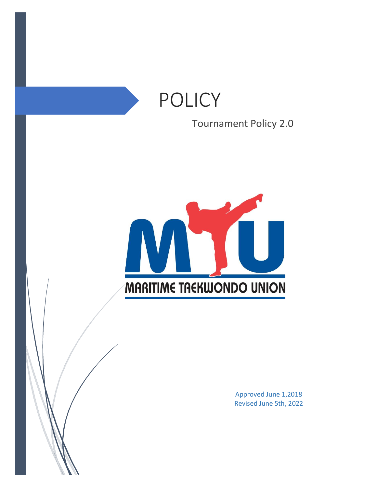# POLICY

Tournament Policy 2.0



Approved June 1,2018 Revised June 5th, 2022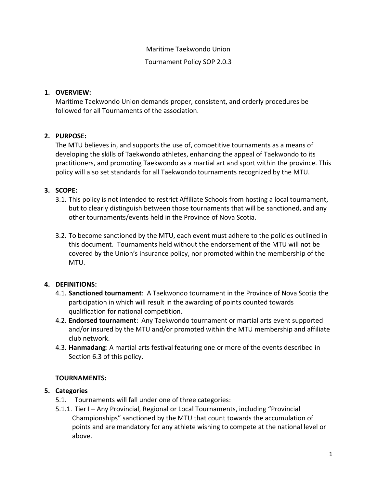#### Maritime Taekwondo Union

Tournament Policy SOP 2.0.3

## **1. OVERVIEW:**

Maritime Taekwondo Union demands proper, consistent, and orderly procedures be followed for all Tournaments of the association.

## **2. PURPOSE:**

The MTU believes in, and supports the use of, competitive tournaments as a means of developing the skills of Taekwondo athletes, enhancing the appeal of Taekwondo to its practitioners, and promoting Taekwondo as a martial art and sport within the province. This policy will also set standards for all Taekwondo tournaments recognized by the MTU.

## **3. SCOPE:**

- 3.1. This policy is not intended to restrict Affiliate Schools from hosting a local tournament, but to clearly distinguish between those tournaments that will be sanctioned, and any other tournaments/events held in the Province of Nova Scotia.
- 3.2. To become sanctioned by the MTU, each event must adhere to the policies outlined in this document. Tournaments held without the endorsement of the MTU will not be covered by the Union's insurance policy, nor promoted within the membership of the MTU.

## **4. DEFINITIONS:**

- 4.1. **Sanctioned tournament**: A Taekwondo tournament in the Province of Nova Scotia the participation in which will result in the awarding of points counted towards qualification for national competition.
- 4.2. **Endorsed tournament**: Any Taekwondo tournament or martial arts event supported and/or insured by the MTU and/or promoted within the MTU membership and affiliate club network.
- 4.3. **Hanmadang**: A martial arts festival featuring one or more of the events described in Section 6.3 of this policy.

## **TOURNAMENTS:**

## **5. Categories**

- 5.1. Tournaments will fall under one of three categories:
- 5.1.1. Tier I Any Provincial, Regional or Local Tournaments, including "Provincial Championships" sanctioned by the MTU that count towards the accumulation of points and are mandatory for any athlete wishing to compete at the national level or above.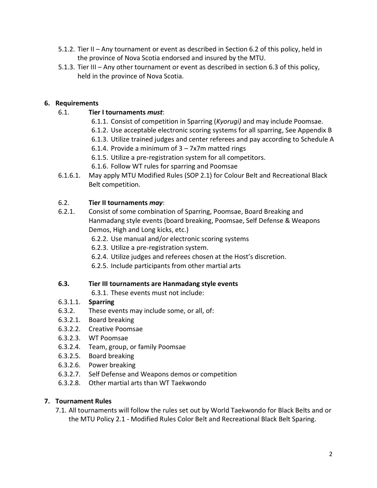- 5.1.2. Tier II Any tournament or event as described in Section 6.2 of this policy, held in the province of Nova Scotia endorsed and insured by the MTU.
- 5.1.3. Tier III Any other tournament or event as described in section 6.3 of this policy, held in the province of Nova Scotia.

## **6. Requirements**

## 6.1. **Tier I tournaments** *must*:

- 6.1.1. Consist of competition in Sparring (*Kyorugi)* and may include Poomsae.
- 6.1.2. Use acceptable electronic scoring systems for all sparring, See Appendix B
- 6.1.3. Utilize trained judges and center referees and pay according to Schedule A
- 6.1.4. Provide a minimum of  $3 7x$ 7m matted rings
- 6.1.5. Utilize a pre-registration system for all competitors.
- 6.1.6. Follow WT rules for sparring and Poomsae
- 6.1.6.1. May apply MTU Modified Rules (SOP 2.1) for Colour Belt and Recreational Black Belt competition.

## 6.2. **Tier II tournaments** *may*:

- 6.2.1. Consist of some combination of Sparring, Poomsae, Board Breaking and Hanmadang style events (board breaking, Poomsae, Self Defense & Weapons Demos, High and Long kicks, etc.)
	- 6.2.2. Use manual and/or electronic scoring systems
	- 6.2.3. Utilize a pre-registration system.
	- 6.2.4. Utilize judges and referees chosen at the Host's discretion.
	- 6.2.5. Include participants from other martial arts

## **6.3. Tier III tournaments are Hanmadang style events**

6.3.1. These events must not include:

## 6.3.1.1. **Sparring**

- 6.3.2. These events may include some, or all, of:
- 6.3.2.1. Board breaking
- 6.3.2.2. Creative Poomsae
- 6.3.2.3. WT Poomsae
- 6.3.2.4. Team, group, or family Poomsae
- 6.3.2.5. Board breaking
- 6.3.2.6. Power breaking
- 6.3.2.7. Self Defense and Weapons demos or competition
- 6.3.2.8. Other martial arts than WT Taekwondo

## **7. Tournament Rules**

7.1. All tournaments will follow the rules set out by World Taekwondo for Black Belts and or the MTU Policy 2.1 - Modified Rules Color Belt and Recreational Black Belt Sparing.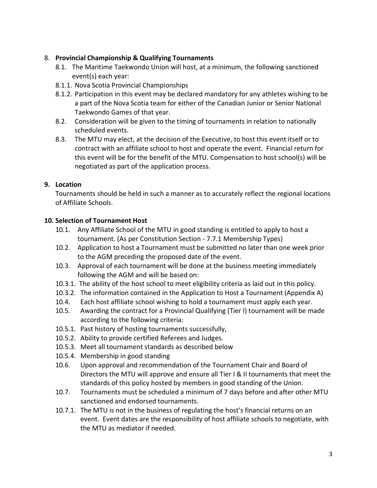## 8. **Provincial Championship & Qualifying Tournaments**

- 8.1. The Maritime Taekwondo Union will host, at a minimum, the following sanctioned event(s) each year:
- 8.1.1. Nova Scotia Provincial Championships
- 8.1.2. Participation in this event may be declared mandatory for any athletes wishing to be a part of the Nova Scotia team for either of the Canadian Junior or Senior National Taekwondo Games of that year.
- 8.2. Consideration will be given to the timing of tournaments in relation to nationally scheduled events.
- 8.3. The MTU may elect, at the decision of the Executive, to host this event itself or to contract with an affiliate school to host and operate the event. Financial return for this event will be for the benefit of the MTU. Compensation to host school(s) will be negotiated as part of the application process.

## **9. Location**

Tournaments should be held in such a manner as to accurately reflect the regional locations of Affiliate Schools.

## **10. Selection of Tournament Host**

- 10.1. Any Affiliate School of the MTU in good standing is entitled to apply to host a tournament. (As per Constitution Section - 7.7.1 Membership Types)
- 10.2. Application to host a Tournament must be submitted no later than one week prior to the AGM preceding the proposed date of the event.
- 10.3. Approval of each tournament will be done at the business meeting immediately following the AGM and will be based on:
- 10.3.1. The ability of the host school to meet eligibility criteria as laid out in this policy.
- 10.3.2. The information contained in the Application to Host a Tournament (Appendix A)
- 10.4. Each host affiliate school wishing to hold a tournament must apply each year.
- 10.5. Awarding the contract for a Provincial Qualifying (Tier I) tournament will be made according to the following criteria:
- 10.5.1. Past history of hosting tournaments successfully,
- 10.5.2. Ability to provide certified Referees and Judges.
- 10.5.3. Meet all tournament standards as described below
- 10.5.4. Membership in good standing
- 10.6. Upon approval and recommendation of the Tournament Chair and Board of Directors the MTU will approve and ensure all Tier I & II tournaments that meet the standards of this policy hosted by members in good standing of the Union.
- 10.7. Tournaments must be scheduled a minimum of 7 days before and after other MTU sanctioned and endorsed tournaments.
- 10.7.1. The MTU is not in the business of regulating the host's financial returns on an event. Event dates are the responsibility of host affiliate schools to negotiate, with the MTU as mediator if needed.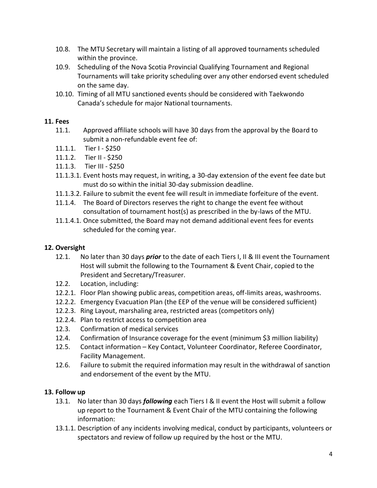- 10.8. The MTU Secretary will maintain a listing of all approved tournaments scheduled within the province.
- 10.9. Scheduling of the Nova Scotia Provincial Qualifying Tournament and Regional Tournaments will take priority scheduling over any other endorsed event scheduled on the same day.
- 10.10. Timing of all MTU sanctioned events should be considered with Taekwondo Canada's schedule for major National tournaments.

## **11. Fees**

- 11.1. Approved affiliate schools will have 30 days from the approval by the Board to submit a non-refundable event fee of:
- 11.1.1. Tier I \$250
- 11.1.2. Tier II \$250
- 11.1.3. Tier III \$250
- 11.1.3.1. Event hosts may request, in writing, a 30-day extension of the event fee date but must do so within the initial 30-day submission deadline.
- 11.1.3.2. Failure to submit the event fee will result in immediate forfeiture of the event.
- 11.1.4. The Board of Directors reserves the right to change the event fee without consultation of tournament host(s) as prescribed in the by-laws of the MTU.
- 11.1.4.1. Once submitted, the Board may not demand additional event fees for events scheduled for the coming year.

## **12. Oversight**

- 12.1. No later than 30 days *prior* to the date of each Tiers I, II & III event the Tournament Host will submit the following to the Tournament & Event Chair, copied to the President and Secretary/Treasurer.
- 12.2. Location, including:
- 12.2.1. Floor Plan showing public areas, competition areas, off-limits areas, washrooms.
- 12.2.2. Emergency Evacuation Plan (the EEP of the venue will be considered sufficient)
- 12.2.3. Ring Layout, marshaling area, restricted areas (competitors only)
- 12.2.4. Plan to restrict access to competition area
- 12.3. Confirmation of medical services
- 12.4. Confirmation of Insurance coverage for the event (minimum \$3 million liability)
- 12.5. Contact information Key Contact, Volunteer Coordinator, Referee Coordinator, Facility Management.
- 12.6. Failure to submit the required information may result in the withdrawal of sanction and endorsement of the event by the MTU.

## **13. Follow up**

- 13.1. No later than 30 days *following* each Tiers I & II event the Host will submit a follow up report to the Tournament & Event Chair of the MTU containing the following information:
- 13.1.1. Description of any incidents involving medical, conduct by participants, volunteers or spectators and review of follow up required by the host or the MTU.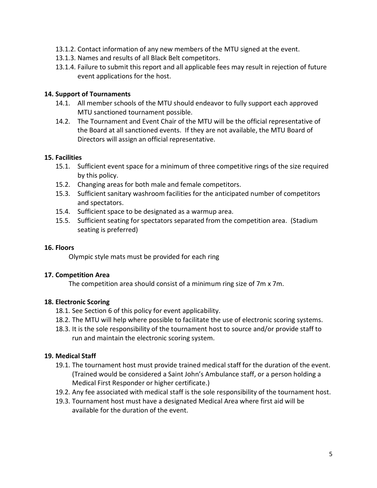- 13.1.2. Contact information of any new members of the MTU signed at the event.
- 13.1.3. Names and results of all Black Belt competitors.
- 13.1.4. Failure to submit this report and all applicable fees may result in rejection of future event applications for the host.

#### **14. Support of Tournaments**

- 14.1. All member schools of the MTU should endeavor to fully support each approved MTU sanctioned tournament possible.
- 14.2. The Tournament and Event Chair of the MTU will be the official representative of the Board at all sanctioned events. If they are not available, the MTU Board of Directors will assign an official representative.

#### **15. Facilities**

- 15.1. Sufficient event space for a minimum of three competitive rings of the size required by this policy.
- 15.2. Changing areas for both male and female competitors.
- 15.3. Sufficient sanitary washroom facilities for the anticipated number of competitors and spectators.
- 15.4. Sufficient space to be designated as a warmup area.
- 15.5. Sufficient seating for spectators separated from the competition area. (Stadium seating is preferred)

#### **16. Floors**

Olympic style mats must be provided for each ring

#### **17. Competition Area**

The competition area should consist of a minimum ring size of 7m x 7m.

## **18. Electronic Scoring**

- 18.1. See Section 6 of this policy for event applicability.
- 18.2. The MTU will help where possible to facilitate the use of electronic scoring systems.
- 18.3. It is the sole responsibility of the tournament host to source and/or provide staff to run and maintain the electronic scoring system.

## **19. Medical Staff**

- 19.1. The tournament host must provide trained medical staff for the duration of the event. (Trained would be considered a Saint John's Ambulance staff, or a person holding a Medical First Responder or higher certificate.)
- 19.2. Any fee associated with medical staff is the sole responsibility of the tournament host.
- 19.3. Tournament host must have a designated Medical Area where first aid will be available for the duration of the event.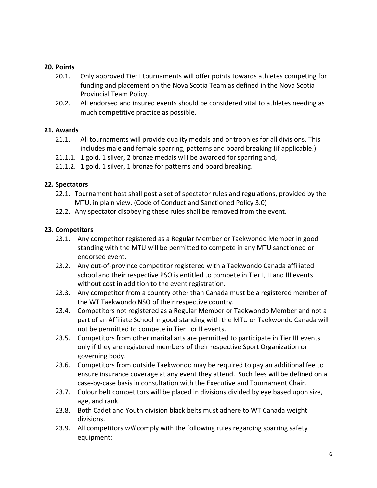#### **20. Points**

- 20.1. Only approved Tier I tournaments will offer points towards athletes competing for funding and placement on the Nova Scotia Team as defined in the Nova Scotia Provincial Team Policy.
- 20.2. All endorsed and insured events should be considered vital to athletes needing as much competitive practice as possible.

#### **21. Awards**

- 21.1. All tournaments will provide quality medals and or trophies for all divisions. This includes male and female sparring, patterns and board breaking (if applicable.)
- 21.1.1. 1 gold, 1 silver, 2 bronze medals will be awarded for sparring and,
- 21.1.2. 1 gold, 1 silver, 1 bronze for patterns and board breaking.

#### **22. Spectators**

- 22.1. Tournament host shall post a set of spectator rules and regulations, provided by the MTU, in plain view. (Code of Conduct and Sanctioned Policy 3.0)
- 22.2. Any spectator disobeying these rules shall be removed from the event.

#### **23. Competitors**

- 23.1. Any competitor registered as a Regular Member or Taekwondo Member in good standing with the MTU will be permitted to compete in any MTU sanctioned or endorsed event.
- 23.2. Any out-of-province competitor registered with a Taekwondo Canada affiliated school and their respective PSO is entitled to compete in Tier I, II and III events without cost in addition to the event registration.
- 23.3. Any competitor from a country other than Canada must be a registered member of the WT Taekwondo NSO of their respective country.
- 23.4. Competitors not registered as a Regular Member or Taekwondo Member and not a part of an Affiliate School in good standing with the MTU or Taekwondo Canada will not be permitted to compete in Tier I or II events.
- 23.5. Competitors from other marital arts are permitted to participate in Tier III events only if they are registered members of their respective Sport Organization or governing body.
- 23.6. Competitors from outside Taekwondo may be required to pay an additional fee to ensure insurance coverage at any event they attend. Such fees will be defined on a case-by-case basis in consultation with the Executive and Tournament Chair.
- 23.7. Colour belt competitors will be placed in divisions divided by eye based upon size, age, and rank.
- 23.8. Both Cadet and Youth division black belts must adhere to WT Canada weight divisions.
- 23.9. All competitors *will* comply with the following rules regarding sparring safety equipment: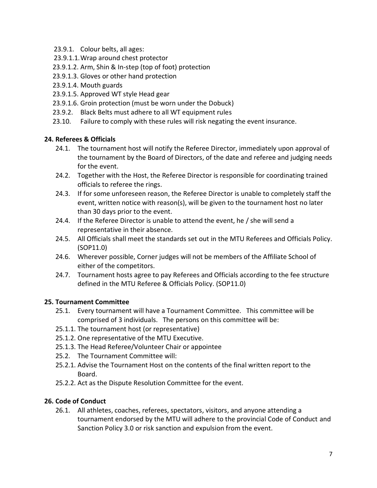- 23.9.1. Colour belts, all ages:
- 23.9.1.1.Wrap around chest protector
- 23.9.1.2. Arm, Shin & In-step (top of foot) protection
- 23.9.1.3. Gloves or other hand protection
- 23.9.1.4. Mouth guards
- 23.9.1.5. Approved WT style Head gear
- 23.9.1.6. Groin protection (must be worn under the Dobuck)
- 23.9.2. Black Belts must adhere to all WT equipment rules
- 23.10. Failure to comply with these rules will risk negating the event insurance.

## **24. Referees & Officials**

- 24.1. The tournament host will notify the Referee Director, immediately upon approval of the tournament by the Board of Directors, of the date and referee and judging needs for the event.
- 24.2. Together with the Host, the Referee Director is responsible for coordinating trained officials to referee the rings.
- 24.3. If for some unforeseen reason, the Referee Director is unable to completely staff the event, written notice with reason(s), will be given to the tournament host no later than 30 days prior to the event.
- 24.4. If the Referee Director is unable to attend the event, he / she will send a representative in their absence.
- 24.5. All Officials shall meet the standards set out in the MTU Referees and Officials Policy. (SOP11.0)
- 24.6. Wherever possible, Corner judges will not be members of the Affiliate School of either of the competitors.
- 24.7. Tournament hosts agree to pay Referees and Officials according to the fee structure defined in the MTU Referee & Officials Policy. (SOP11.0)

## **25. Tournament Committee**

- 25.1. Every tournament will have a Tournament Committee. This committee will be comprised of 3 individuals. The persons on this committee will be:
- 25.1.1. The tournament host (or representative)
- 25.1.2. One representative of the MTU Executive.
- 25.1.3. The Head Referee/Volunteer Chair or appointee
- 25.2. The Tournament Committee will:
- 25.2.1. Advise the Tournament Host on the contents of the final written report to the Board.
- 25.2.2. Act as the Dispute Resolution Committee for the event.

## **26. Code of Conduct**

26.1. All athletes, coaches, referees, spectators, visitors, and anyone attending a tournament endorsed by the MTU will adhere to the provincial Code of Conduct and Sanction Policy 3.0 or risk sanction and expulsion from the event.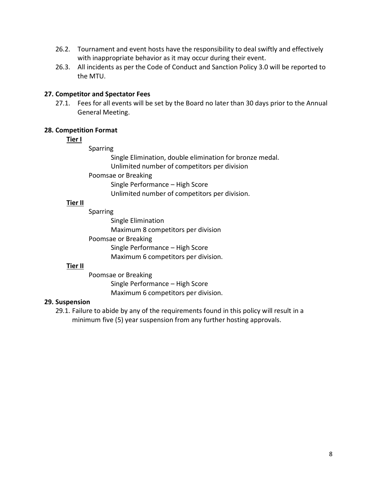- 26.2. Tournament and event hosts have the responsibility to deal swiftly and effectively with inappropriate behavior as it may occur during their event.
- 26.3. All incidents as per the Code of Conduct and Sanction Policy 3.0 will be reported to the MTU.

#### **27. Competitor and Spectator Fees**

27.1. Fees for all events will be set by the Board no later than 30 days prior to the Annual General Meeting.

#### **28. Competition Format**

## **Tier I**

Sparring

Single Elimination, double elimination for bronze medal. Unlimited number of competitors per division

Poomsae or Breaking

Single Performance – High Score

Unlimited number of competitors per division.

## **Tier II**

Sparring Single Elimination Maximum 8 competitors per division Poomsae or Breaking

Single Performance – High Score Maximum 6 competitors per division.

## **Tier II**

Poomsae or Breaking Single Performance – High Score Maximum 6 competitors per division.

## **29. Suspension**

29.1. Failure to abide by any of the requirements found in this policy will result in a minimum five (5) year suspension from any further hosting approvals.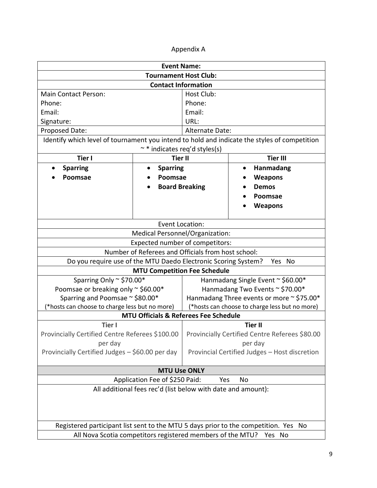## Appendix A

| <b>Event Name:</b>                                                                           |                       |                                                |                 |
|----------------------------------------------------------------------------------------------|-----------------------|------------------------------------------------|-----------------|
| <b>Tournament Host Club:</b>                                                                 |                       |                                                |                 |
| <b>Contact Information</b>                                                                   |                       |                                                |                 |
| <b>Main Contact Person:</b>                                                                  |                       | <b>Host Club:</b>                              |                 |
| Phone:                                                                                       |                       | Phone:                                         |                 |
| Email:                                                                                       |                       | Email:                                         |                 |
| Signature:                                                                                   |                       | URL:                                           |                 |
| Proposed Date:                                                                               |                       | Alternate Date:                                |                 |
| Identify which level of tournament you intend to hold and indicate the styles of competition |                       |                                                |                 |
| ~ * indicates req'd styles(s)                                                                |                       |                                                |                 |
| <b>Tier II</b><br><b>Tier I</b>                                                              |                       |                                                | <b>Tier III</b> |
| <b>Sparring</b>                                                                              | <b>Sparring</b>       |                                                | Hanmadang       |
| Poomsae                                                                                      | Poomsae               |                                                | <b>Weapons</b>  |
|                                                                                              | <b>Board Breaking</b> |                                                | <b>Demos</b>    |
|                                                                                              |                       |                                                | Poomsae         |
|                                                                                              |                       |                                                | <b>Weapons</b>  |
|                                                                                              |                       |                                                |                 |
| <b>Event Location:</b>                                                                       |                       |                                                |                 |
| Medical Personnel/Organization:                                                              |                       |                                                |                 |
| Expected number of competitors:                                                              |                       |                                                |                 |
| Number of Referees and Officials from host school:                                           |                       |                                                |                 |
| Do you require use of the MTU Daedo Electronic Scoring System?<br>Yes No                     |                       |                                                |                 |
| <b>MTU Competition Fee Schedule</b>                                                          |                       |                                                |                 |
| Sparring Only ~ \$70.00*                                                                     |                       | Hanmadang Single Event ~ \$60.00*              |                 |
| Poomsae or breaking only ~ \$60.00*                                                          |                       | Hanmadang Two Events ~ \$70.00*                |                 |
| Sparring and Poomsae ~ \$80.00*                                                              |                       | Hanmadang Three events or more ~ \$75.00*      |                 |
| (*hosts can choose to charge less but no more)                                               |                       | (*hosts can choose to charge less but no more) |                 |
| <b>MTU Officials &amp; Referees Fee Schedule</b>                                             |                       |                                                |                 |
| <b>Tier I</b>                                                                                |                       | <b>Tier II</b>                                 |                 |
| Provincially Certified Centre Referees \$100.00                                              |                       | Provincially Certified Centre Referees \$80.00 |                 |
| per day                                                                                      |                       |                                                | per day         |
| Provincially Certified Judges - \$60.00 per day                                              |                       | Provincial Certified Judges - Host discretion  |                 |
| <b>MTU Use ONLY</b>                                                                          |                       |                                                |                 |
| Application Fee of \$250 Paid:<br>No<br>Yes                                                  |                       |                                                |                 |
| All additional fees rec'd (list below with date and amount):                                 |                       |                                                |                 |
|                                                                                              |                       |                                                |                 |
|                                                                                              |                       |                                                |                 |
|                                                                                              |                       |                                                |                 |
| Registered participant list sent to the MTU 5 days prior to the competition. Yes No          |                       |                                                |                 |
| All Nova Scotia competitors registered members of the MTU?<br>Yes No                         |                       |                                                |                 |